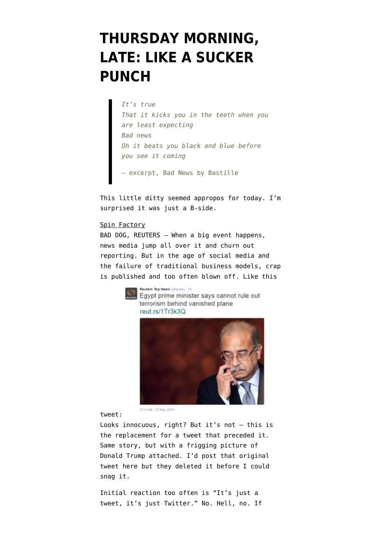## **[THURSDAY MORNING,](https://www.emptywheel.net/2016/05/19/thursday-morning-late-like-a-sucker-punch/) [LATE: LIKE A SUCKER](https://www.emptywheel.net/2016/05/19/thursday-morning-late-like-a-sucker-punch/) [PUNCH](https://www.emptywheel.net/2016/05/19/thursday-morning-late-like-a-sucker-punch/)**

*It's true That it kicks you in the teeth when you are least expecting Bad news Oh it beats you black and blue before you see it coming* — excerpt, Bad News by Bastille

This little ditty seemed appropos for today. I'm surprised it was just a B-side.

## Spin Factory

BAD DOG, REUTERS — When a big event happens, news media jump all over it and churn out reporting. But in the age of social media and the failure of traditional business models, crap is published and too often blown off. Like this

> Reuters Top News (Silenton Div Egypt prime minister says cannot rule out terrorism behind vanished plane reut.rs/1Tr3k3Q



tweet[:](https://www.emptywheel.net/wp-content/uploads/2016/05/Reuters_tweet_813am_19MAY2016.jpg)

Looks innocuous, right? But it's not — this is the replacement for a tweet that preceded it. Same story, but with a frigging picture of Donald Trump attached. I'd post that original tweet here but they deleted it before I could snag it.

Initial reaction too often is "It's just a tweet, it's just Twitter." No. Hell, no. If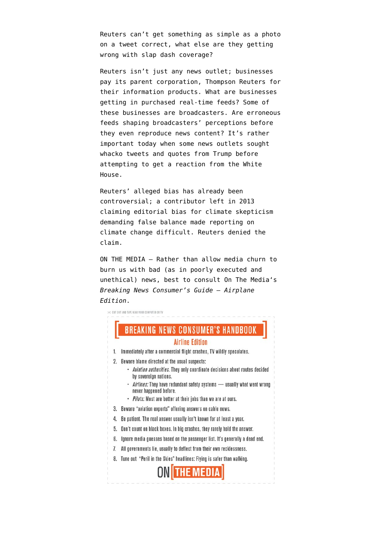Reuters can't get something as simple as a photo on a tweet correct, what else are they getting wrong with slap dash coverage?

Reuters isn't just any news outlet; businesses pay its parent corporation, Thompson Reuters for their information products. What are businesses getting in purchased real-time feeds? Some of these businesses are broadcasters. Are erroneous feeds shaping broadcasters' perceptions before they even reproduce news content? It's rather important today when some news outlets sought whacko tweets and quotes from Trump before attempting to get a reaction from the White House.

Reuters' alleged bias has already been controversial; a contributor left in 2013 [claiming editorial bias for climate skepticism](http://thinkprogress.org/climate/2013/07/16/2307291/reuters-exposed-publication-openly-hostile-to-climate-coverage-top-editor-doubts-climate-science/) demanding false balance made reporting on climate change difficult. Reuters denied the claim.

ON THE MEDIA — Rather than allow media churn to burn us with bad (as in poorly executed and unethical) news, best to consult [On The Media](https://twitter.com/onthemedia/status/733149709045534720)'s *Breaking News Consumer's Guide — Airplane Edition*.